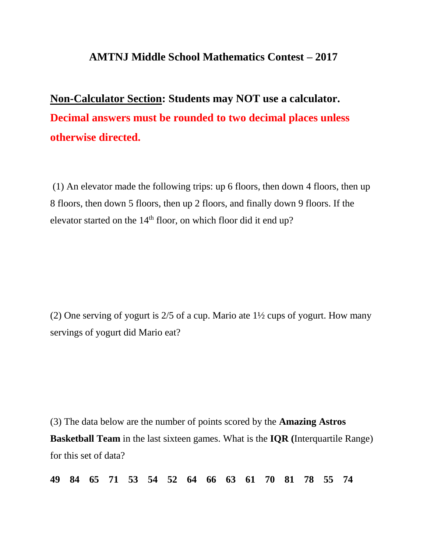## **AMTNJ Middle School Mathematics Contest – 2017**

## **Non-Calculator Section: Students may NOT use a calculator. Decimal answers must be rounded to two decimal places unless otherwise directed.**

(1) An elevator made the following trips: up 6 floors, then down 4 floors, then up 8 floors, then down 5 floors, then up 2 floors, and finally down 9 floors. If the elevator started on the  $14<sup>th</sup>$  floor, on which floor did it end up?

(2) One serving of yogurt is 2/5 of a cup. Mario ate 1½ cups of yogurt. How many servings of yogurt did Mario eat?

(3) The data below are the number of points scored by the **Amazing Astros Basketball Team** in the last sixteen games. What is the **IQR (**Interquartile Range) for this set of data?

**49 84 65 71 53 54 52 64 66 63 61 70 81 78 55 74**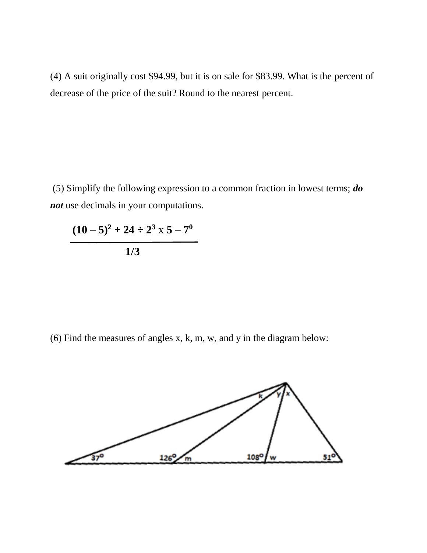(4) A suit originally cost \$94.99, but it is on sale for \$83.99. What is the percent of decrease of the price of the suit? Round to the nearest percent.

(5) Simplify the following expression to a common fraction in lowest terms; *do not* use decimals in your computations.

 $(10-5)^2 + 24 \div 2^3 \times 5 - 7^0$  **1/3**

(6) Find the measures of angles x, k, m, w, and y in the diagram below:

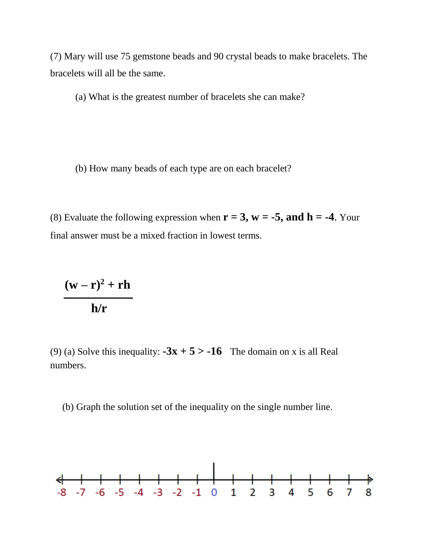(7) Mary will use 75 gemstone beads and 90 crystal beads to make bracelets. The bracelets will all be the same.

(a) What is the greatest number of bracelets she can make?

(b) How many beads of each type are on each bracelet?

(8) Evaluate the following expression when  $r = 3$ ,  $w = -5$ , and  $h = -4$ . Your final answer must be a mixed fraction in lowest terms.

$$
\frac{(w-r)^2 + rh}{h/r}
$$

(9) (a) Solve this inequality:  $-3x + 5 > -16$  The domain on x is all Real numbers.

(b) Graph the solution set of the inequality on the single number line.

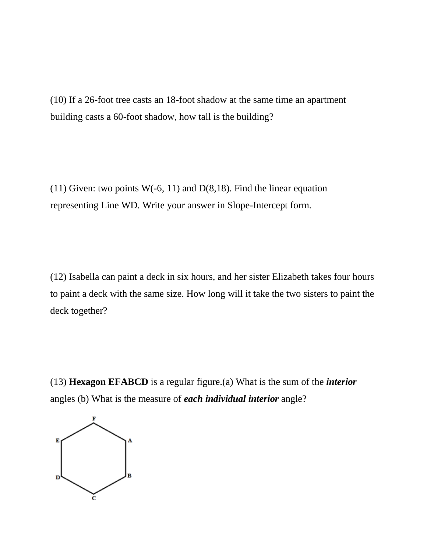(10) If a 26-foot tree casts an 18-foot shadow at the same time an apartment building casts a 60-foot shadow, how tall is the building?

(11) Given: two points  $W(-6, 11)$  and  $D(8, 18)$ . Find the linear equation representing Line WD. Write your answer in Slope-Intercept form.

(12) Isabella can paint a deck in six hours, and her sister Elizabeth takes four hours to paint a deck with the same size. How long will it take the two sisters to paint the deck together?

(13) **Hexagon EFABCD** is a regular figure.(a) What is the sum of the *interior* angles (b) What is the measure of *each individual interior* angle?

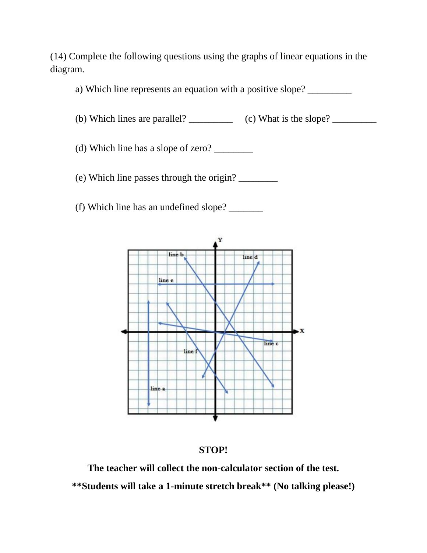(14) Complete the following questions using the graphs of linear equations in the diagram.

a) Which line represents an equation with a positive slope?

(b) Which lines are parallel?  $\qquad \qquad$  (c) What is the slope?

(d) Which line has a slope of zero?  $\frac{2}{2}$ 

(e) Which line passes through the origin? \_\_\_\_\_\_\_\_

(f) Which line has an undefined slope? \_\_\_\_\_\_\_





**The teacher will collect the non-calculator section of the test. \*\*Students will take a 1-minute stretch break\*\* (No talking please!)**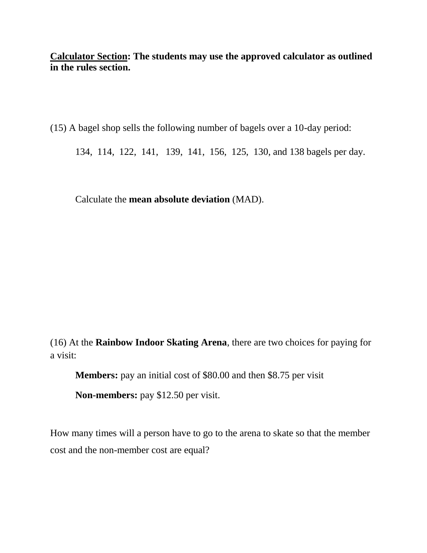**Calculator Section: The students may use the approved calculator as outlined in the rules section.**

(15) A bagel shop sells the following number of bagels over a 10-day period:

134, 114, 122, 141, 139, 141, 156, 125, 130, and 138 bagels per day.

Calculate the **mean absolute deviation** (MAD).

(16) At the **Rainbow Indoor Skating Arena**, there are two choices for paying for a visit:

**Members:** pay an initial cost of \$80.00 and then \$8.75 per visit

**Non-members:** pay \$12.50 per visit.

How many times will a person have to go to the arena to skate so that the member cost and the non-member cost are equal?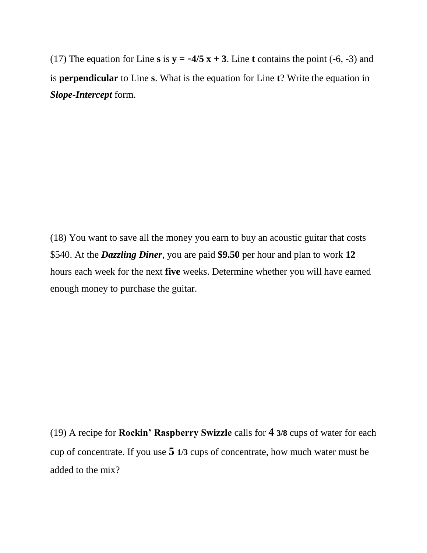(17) The equation for Line **s** is  $y = -4/5 x + 3$ . Line **t** contains the point (-6, -3) and is **perpendicular** to Line **s**. What is the equation for Line **t**? Write the equation in *Slope-Intercept* form.

(18) You want to save all the money you earn to buy an acoustic guitar that costs \$540. At the *Dazzling Diner*, you are paid **\$9.50** per hour and plan to work **12** hours each week for the next **five** weeks. Determine whether you will have earned enough money to purchase the guitar.

(19) A recipe for **Rockin' Raspberry Swizzle** calls for **4 3/8** cups of water for each cup of concentrate. If you use **5 1/3** cups of concentrate, how much water must be added to the mix?